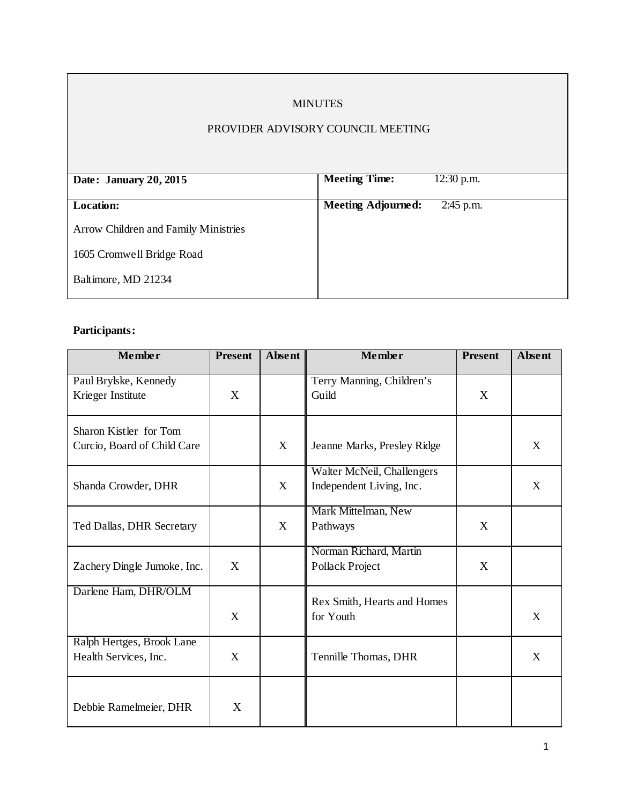## MINUTES

# PROVIDER ADVISORY COUNCIL MEETING

| Date: January 20, 2015               | <b>Meeting Time:</b>      | $12:30$ p.m. |
|--------------------------------------|---------------------------|--------------|
|                                      |                           |              |
| <b>Location:</b>                     | <b>Meeting Adjourned:</b> | $2:45$ p.m.  |
|                                      |                           |              |
| Arrow Children and Family Ministries |                           |              |
|                                      |                           |              |
| 1605 Cromwell Bridge Road            |                           |              |
|                                      |                           |              |
| Baltimore, MD 21234                  |                           |              |
|                                      |                           |              |

# **Participants:**

| <b>Member</b>                                         | <b>Present</b> | Absent | Member                                                 | <b>Present</b> | Absent |
|-------------------------------------------------------|----------------|--------|--------------------------------------------------------|----------------|--------|
| Paul Brylske, Kennedy<br>Krieger Institute            | X              |        | Terry Manning, Children's<br>Guild                     | X              |        |
| Sharon Kistler for Tom<br>Curcio, Board of Child Care |                | X      | Jeanne Marks, Presley Ridge                            |                | X      |
| Shanda Crowder, DHR                                   |                | X      | Walter McNeil, Challengers<br>Independent Living, Inc. |                | X      |
| Ted Dallas, DHR Secretary                             |                | X      | Mark Mittelman, New<br>Pathways                        | X              |        |
| Zachery Dingle Jumoke, Inc.                           | X              |        | Norman Richard, Martin<br>Pollack Project              | X              |        |
| Darlene Ham, DHR/OLM                                  | X              |        | Rex Smith, Hearts and Homes<br>for Youth               |                | X      |
| Ralph Hertges, Brook Lane<br>Health Services, Inc.    | X              |        | Tennille Thomas, DHR                                   |                | X      |
| Debbie Ramelmeier, DHR                                | X              |        |                                                        |                |        |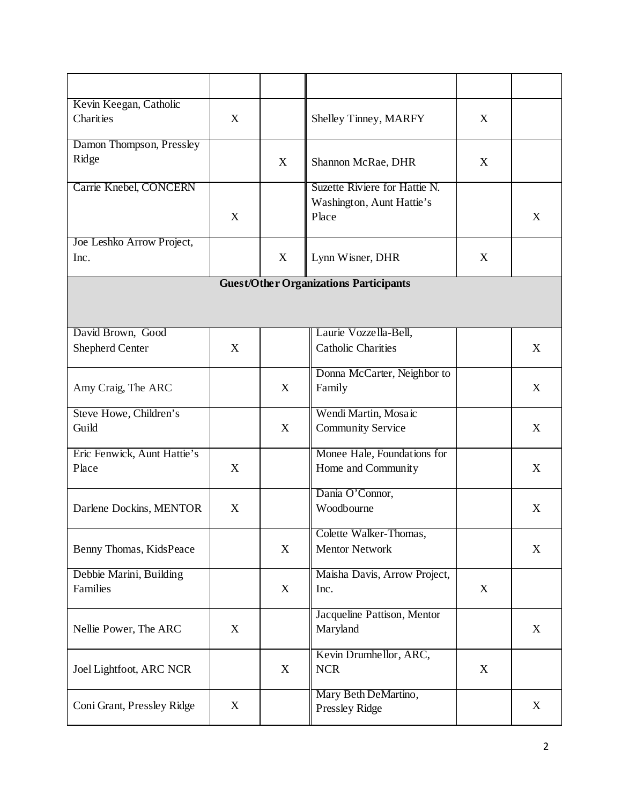| Kevin Keegan, Catholic      |   |   |                                               |   |   |
|-----------------------------|---|---|-----------------------------------------------|---|---|
| Charities                   | X |   | Shelley Tinney, MARFY                         | X |   |
|                             |   |   |                                               |   |   |
| Damon Thompson, Pressley    |   |   |                                               |   |   |
| Ridge                       |   | X | Shannon McRae, DHR                            | X |   |
|                             |   |   |                                               |   |   |
| Carrie Knebel, CONCERN      |   |   | Suzette Riviere for Hattie N.                 |   |   |
|                             |   |   | Washington, Aunt Hattie's                     |   |   |
|                             | X |   | Place                                         |   | X |
|                             |   |   |                                               |   |   |
| Joe Leshko Arrow Project,   |   |   |                                               |   |   |
| Inc.                        |   | X | Lynn Wisner, DHR                              | X |   |
|                             |   |   | <b>Guest/Other Organizations Participants</b> |   |   |
|                             |   |   |                                               |   |   |
|                             |   |   |                                               |   |   |
|                             |   |   |                                               |   |   |
| David Brown, Good           |   |   | Laurie Vozzella-Bell,                         |   |   |
| Shepherd Center             | X |   | <b>Catholic Charities</b>                     |   | X |
|                             |   |   |                                               |   |   |
|                             |   |   | Donna McCarter, Neighbor to                   |   |   |
| Amy Craig, The ARC          |   | X | Family                                        |   | X |
| Steve Howe, Children's      |   |   | Wendi Martin, Mosaic                          |   |   |
| Guild                       |   | X | <b>Community Service</b>                      |   | X |
|                             |   |   |                                               |   |   |
| Eric Fenwick, Aunt Hattie's |   |   | Monee Hale, Foundations for                   |   |   |
| Place                       | X |   | Home and Community                            |   | X |
|                             |   |   |                                               |   |   |
|                             |   |   | Dania O'Connor,                               |   |   |
| Darlene Dockins, MENTOR     | X |   | Woodbourne                                    |   | X |
|                             |   |   |                                               |   |   |
|                             |   |   | Colette Walker-Thomas,                        |   |   |
| Benny Thomas, KidsPeace     |   | X | <b>Mentor Network</b>                         |   | X |
| Debbie Marini, Building     |   |   | Maisha Davis, Arrow Project,                  |   |   |
| Families                    |   | X |                                               |   |   |
|                             |   |   | Inc.                                          | X |   |
|                             |   |   | Jacqueline Pattison, Mentor                   |   |   |
| Nellie Power, The ARC       | X |   | Maryland                                      |   | X |
|                             |   |   |                                               |   |   |
|                             |   |   | Kevin Drumhellor, ARC,                        |   |   |
| Joel Lightfoot, ARC NCR     |   | X | <b>NCR</b>                                    | X |   |
|                             |   |   |                                               |   |   |
|                             |   |   | Mary Beth DeMartino,                          |   |   |
| Coni Grant, Pressley Ridge  | X |   | Pressley Ridge                                |   | X |
|                             |   |   |                                               |   |   |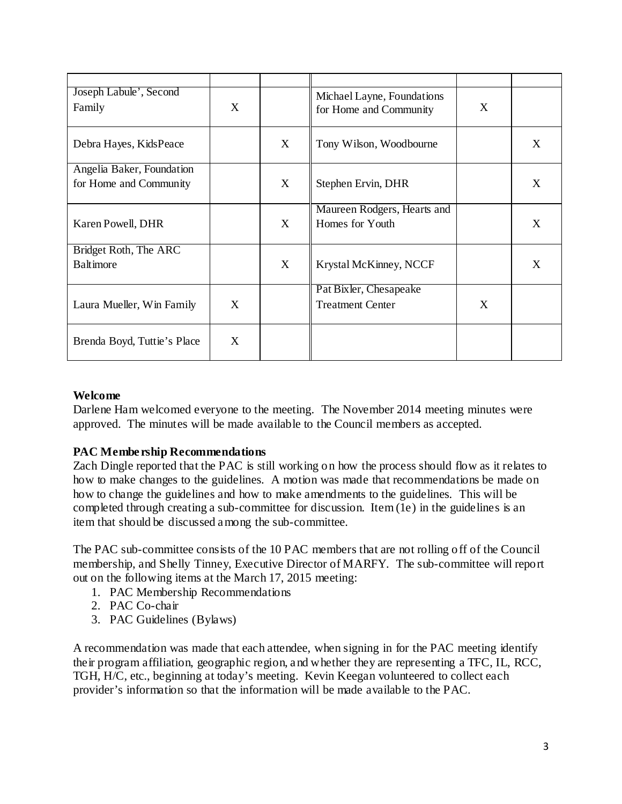| Joseph Labule', Second<br>Family | X |   | Michael Layne, Foundations<br>for Home and Community | X |   |
|----------------------------------|---|---|------------------------------------------------------|---|---|
| Debra Hayes, KidsPeace           |   | X | Tony Wilson, Woodbourne                              |   | X |
| Angelia Baker, Foundation        |   |   |                                                      |   |   |
| for Home and Community           |   | X | Stephen Ervin, DHR                                   |   | X |
|                                  |   |   | Maureen Rodgers, Hearts and                          |   |   |
| Karen Powell, DHR                |   | X | Homes for Youth                                      |   | X |
| Bridget Roth, The ARC            |   |   |                                                      |   |   |
| <b>Baltimore</b>                 |   | X | Krystal McKinney, NCCF                               |   | X |
|                                  |   |   | Pat Bixler, Chesapeake                               |   |   |
| Laura Mueller, Win Family        | X |   | <b>Treatment Center</b>                              | X |   |
| Brenda Boyd, Tuttie's Place      | X |   |                                                      |   |   |

#### **Welcome**

Darlene Ham welcomed everyone to the meeting. The November 2014 meeting minutes were approved. The minutes will be made available to the Council members as accepted.

## **PAC Membership Recommendations**

Zach Dingle reported that the PAC is still working on how the process should flow as it relates to how to make changes to the guidelines. A motion was made that recommendations be made on how to change the guidelines and how to make amendments to the guidelines. This will be completed through creating a sub-committee for discussion. Item (1e) in the guidelines is an item that should be discussed among the sub-committee.

The PAC sub-committee consists of the 10 PAC members that are not rolling off of the Council membership, and Shelly Tinney, Executive Director of MARFY. The sub-committee will report out on the following items at the March 17, 2015 meeting:

- 1. PAC Membership Recommendations
- 2. PAC Co-chair
- 3. PAC Guidelines (Bylaws)

A recommendation was made that each attendee, when signing in for the PAC meeting identify their program affiliation, geographic region, and whether they are representing a TFC, IL, RCC, TGH, H/C, etc., beginning at today's meeting. Kevin Keegan volunteered to collect each provider's information so that the information will be made available to the PAC.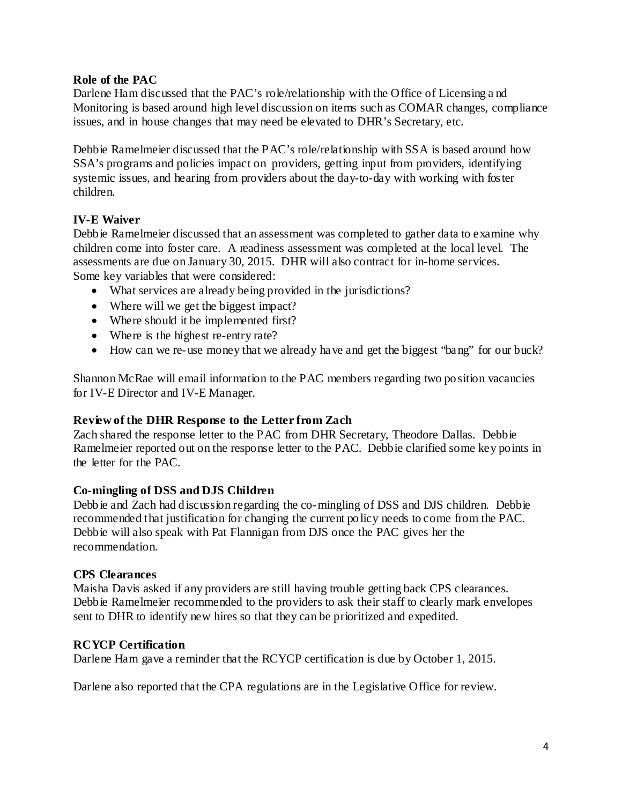#### **Role of the PAC**

Darlene Ham discussed that the PAC's role/relationship with the Office of Licensing and Monitoring is based around high level discussion on items such as COMAR changes, compliance issues, and in house changes that may need be elevated to DHR's Secretary, etc.

Debbie Ramelmeier discussed that the PAC's role/relationship with SSA is based around how SSA's programs and policies impact on providers, getting input from providers, identifying systemic issues, and hearing from providers about the day-to-day with working with foster children.

#### **IV-E Waiver**

Debbie Ramelmeier discussed that an assessment was completed to gather data to examine why children come into foster care. A readiness assessment was completed at the local level. The assessments are due on January 30, 2015. DHR will also contract for in-home services. Some key variables that were considered:

- What services are already being provided in the jurisdictions?
- Where will we get the biggest impact?
- Where should it be implemented first?
- Where is the highest re-entry rate?
- How can we re-use money that we already have and get the biggest "bang" for our buck?

Shannon McRae will email information to the PAC members regarding two position vacancies for IV-E Director and IV-E Manager.

#### **Review of the DHR Response to the Letter from Zach**

Zach shared the response letter to the PAC from DHR Secretary, Theodore Dallas. Debbie Ramelmeier reported out on the response letter to the PAC. Debbie clarified some key points in the letter for the PAC.

#### **Co-mingling of DSS and DJS Children**

Debbie and Zach had discussion regarding the co-mingling of DSS and DJS children. Debbie recommended that justification for changing the current policy needs to come from the PAC. Debbie will also speak with Pat Flannigan from DJS once the PAC gives her the recommendation.

#### **CPS Clearances**

Maisha Davis asked if any providers are still having trouble getting back CPS clearances. Debbie Ramelmeier recommended to the providers to ask their staff to clearly mark envelopes sent to DHR to identify new hires so that they can be prioritized and expedited.

#### **RCYCP Certification**

Darlene Ham gave a reminder that the RCYCP certification is due by October 1, 2015.

Darlene also reported that the CPA regulations are in the Legislative Office for review.